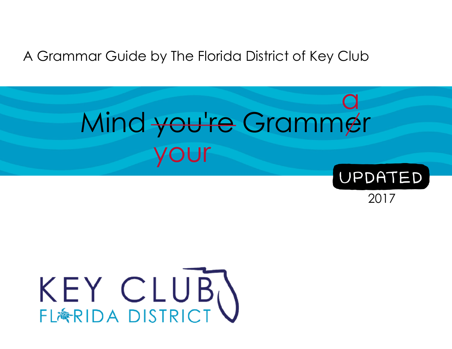## A Grammar Guide by The Florida District of Key Club

## your a Mind you're Grammer



2017

# KEY CLUB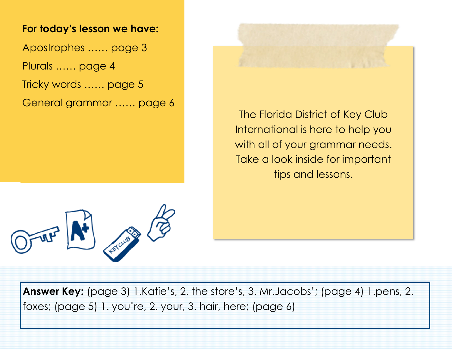#### **For today's lesson we have:**

Apostrophes …… page 3 Plurals …… page 4 Tricky words …… page 5

General grammar …… page 6

The Florida District of Key Club International is here to help you with all of your grammar needs. Take a look inside for important tips and lessons.



**Answer Key:** (page 3) 1.Katie's, 2. the store's, 3. Mr.Jacobs'; (page 4) 1.pens, 2. foxes; (page 5) 1. you're, 2. your, 3. hair, here; (page 6)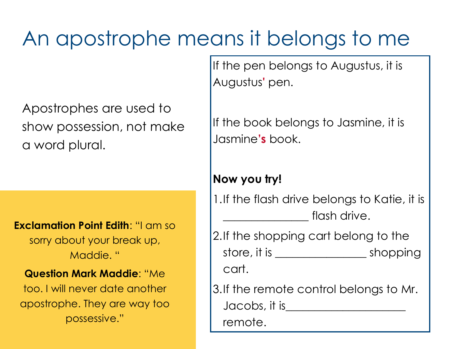## An apostrophe means it belongs to me

Apostrophes are used to show possession, not make a word plural.

**Exclamation Point Edith**: "I am so sorry about your break up, Maddie. "

#### **Question Mark Maddie**: "Me

too. I will never date another apostrophe. They are way too possessive."

If the pen belongs to Augustus, it is Augustus**'** pen.

If the book belongs to Jasmine, it is Jasmine**'s** book.

#### **Now you try!**

1.If the flash drive belongs to Katie, it is flash drive.

2.If the shopping cart belong to the store, it is \_\_\_\_\_\_\_\_\_\_\_\_\_\_\_\_\_\_\_\_\_\_\_\_\_\_ shopping cart.

3.If the remote control belongs to Mr. Jacobs, it is\_\_\_\_\_\_\_\_\_\_\_\_\_\_\_\_\_\_\_\_\_

remote.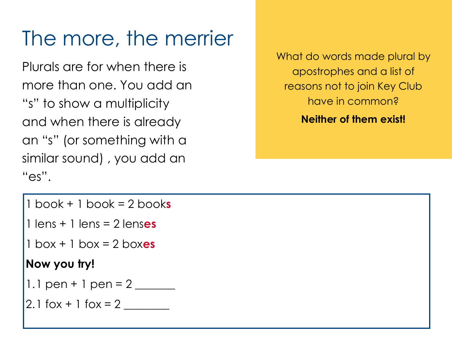## The more, the merrier

Plurals are for when there is more than one. You add an "s" to show a multiplicity and when there is already an "s" (or something with a similar sound) , you add an "es".

What do words made plural by apostrophes and a list of reasons not to join Key Club have in common?

**Neither of them exist!**

- 1 book + 1 book = 2 book**s**
- 1 lens + 1 lens = 2 lens**es**
- 1 box + 1 box = 2 box**es**

## **Now you try!**

- 1.1 pen + 1 pen =  $2 \_$
- 2.1 fox  $+1$  fox  $= 2$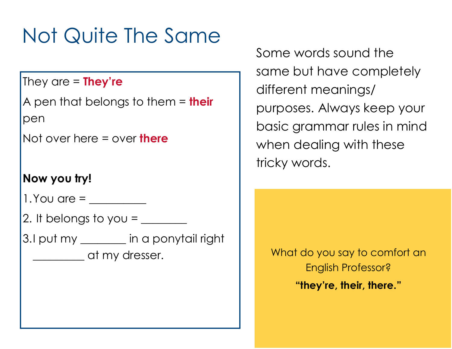## Not Quite The Same

## They are = **They're**

A pen that belongs to them = **their**  pen

Not over here = over **there** 

## **Now you try!**

1.You are = \_\_\_\_\_\_\_\_\_\_

2. It belongs to you =  $\frac{1}{\sqrt{1-\frac{1}{c^2}}}$ 

3.I put my \_\_\_\_\_\_\_\_ in a ponytail right \_\_\_\_\_\_\_\_\_ at my dresser.

Some words sound the same but have completely different meanings/ purposes. Always keep your basic grammar rules in mind when dealing with these tricky words.

What do you say to comfort an English Professor? **"they're, their, there."**